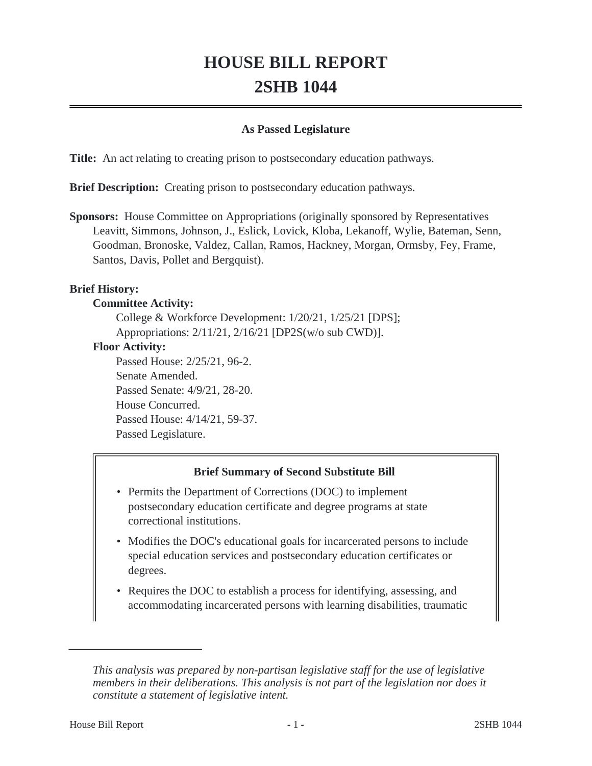# **HOUSE BILL REPORT 2SHB 1044**

#### **As Passed Legislature**

**Title:** An act relating to creating prison to postsecondary education pathways.

**Brief Description:** Creating prison to postsecondary education pathways.

**Sponsors:** House Committee on Appropriations (originally sponsored by Representatives Leavitt, Simmons, Johnson, J., Eslick, Lovick, Kloba, Lekanoff, Wylie, Bateman, Senn, Goodman, Bronoske, Valdez, Callan, Ramos, Hackney, Morgan, Ormsby, Fey, Frame, Santos, Davis, Pollet and Bergquist).

#### **Brief History:**

#### **Committee Activity:**

College & Workforce Development: 1/20/21, 1/25/21 [DPS]; Appropriations: 2/11/21, 2/16/21 [DP2S(w/o sub CWD)].

#### **Floor Activity:**

Passed House: 2/25/21, 96-2. Senate Amended. Passed Senate: 4/9/21, 28-20. House Concurred. Passed House: 4/14/21, 59-37. Passed Legislature.

#### **Brief Summary of Second Substitute Bill**

- Permits the Department of Corrections (DOC) to implement postsecondary education certificate and degree programs at state correctional institutions.
- Modifies the DOC's educational goals for incarcerated persons to include special education services and postsecondary education certificates or degrees.
- Requires the DOC to establish a process for identifying, assessing, and accommodating incarcerated persons with learning disabilities, traumatic

*This analysis was prepared by non-partisan legislative staff for the use of legislative members in their deliberations. This analysis is not part of the legislation nor does it constitute a statement of legislative intent.*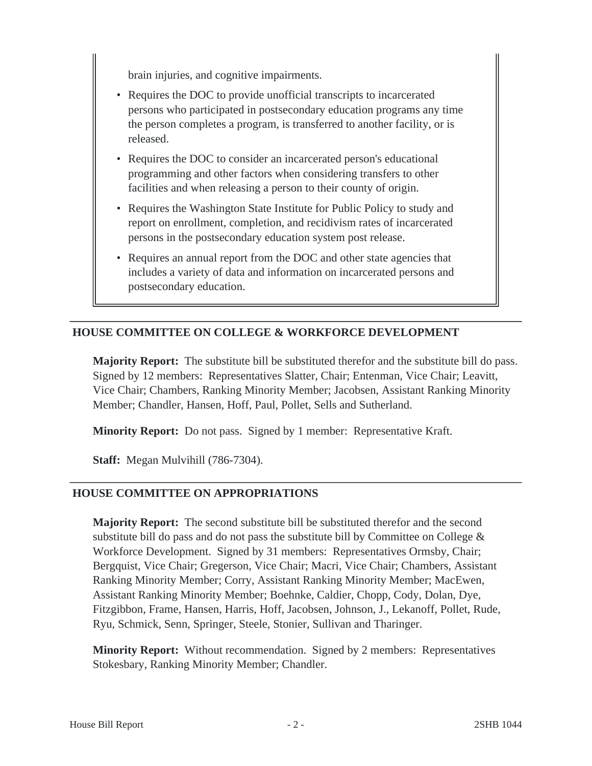brain injuries, and cognitive impairments.

- Requires the DOC to provide unofficial transcripts to incarcerated persons who participated in postsecondary education programs any time the person completes a program, is transferred to another facility, or is released.
- Requires the DOC to consider an incarcerated person's educational programming and other factors when considering transfers to other facilities and when releasing a person to their county of origin.
- Requires the Washington State Institute for Public Policy to study and report on enrollment, completion, and recidivism rates of incarcerated persons in the postsecondary education system post release.
- Requires an annual report from the DOC and other state agencies that includes a variety of data and information on incarcerated persons and postsecondary education.

## **HOUSE COMMITTEE ON COLLEGE & WORKFORCE DEVELOPMENT**

**Majority Report:** The substitute bill be substituted therefor and the substitute bill do pass. Signed by 12 members: Representatives Slatter, Chair; Entenman, Vice Chair; Leavitt, Vice Chair; Chambers, Ranking Minority Member; Jacobsen, Assistant Ranking Minority Member; Chandler, Hansen, Hoff, Paul, Pollet, Sells and Sutherland.

**Minority Report:** Do not pass. Signed by 1 member: Representative Kraft.

**Staff:** Megan Mulvihill (786-7304).

#### **HOUSE COMMITTEE ON APPROPRIATIONS**

**Majority Report:** The second substitute bill be substituted therefor and the second substitute bill do pass and do not pass the substitute bill by Committee on College  $\&$ Workforce Development. Signed by 31 members: Representatives Ormsby, Chair; Bergquist, Vice Chair; Gregerson, Vice Chair; Macri, Vice Chair; Chambers, Assistant Ranking Minority Member; Corry, Assistant Ranking Minority Member; MacEwen, Assistant Ranking Minority Member; Boehnke, Caldier, Chopp, Cody, Dolan, Dye, Fitzgibbon, Frame, Hansen, Harris, Hoff, Jacobsen, Johnson, J., Lekanoff, Pollet, Rude, Ryu, Schmick, Senn, Springer, Steele, Stonier, Sullivan and Tharinger.

**Minority Report:** Without recommendation. Signed by 2 members: Representatives Stokesbary, Ranking Minority Member; Chandler.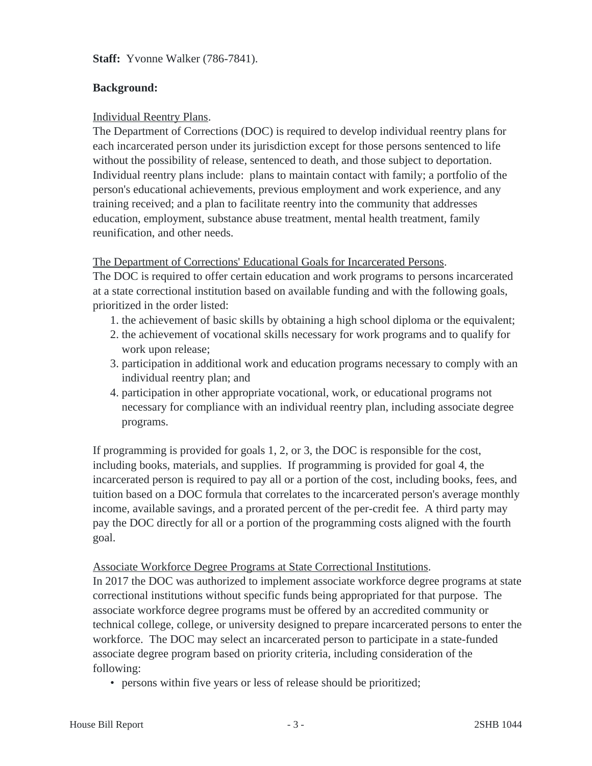**Staff:** Yvonne Walker (786-7841).

### **Background:**

#### Individual Reentry Plans.

The Department of Corrections (DOC) is required to develop individual reentry plans for each incarcerated person under its jurisdiction except for those persons sentenced to life without the possibility of release, sentenced to death, and those subject to deportation. Individual reentry plans include: plans to maintain contact with family; a portfolio of the person's educational achievements, previous employment and work experience, and any training received; and a plan to facilitate reentry into the community that addresses education, employment, substance abuse treatment, mental health treatment, family reunification, and other needs.

#### The Department of Corrections' Educational Goals for Incarcerated Persons.

The DOC is required to offer certain education and work programs to persons incarcerated at a state correctional institution based on available funding and with the following goals, prioritized in the order listed:

- 1. the achievement of basic skills by obtaining a high school diploma or the equivalent;
- 2. the achievement of vocational skills necessary for work programs and to qualify for work upon release;
- 3. participation in additional work and education programs necessary to comply with an individual reentry plan; and
- 4. participation in other appropriate vocational, work, or educational programs not necessary for compliance with an individual reentry plan, including associate degree programs.

If programming is provided for goals 1, 2, or 3, the DOC is responsible for the cost, including books, materials, and supplies. If programming is provided for goal 4, the incarcerated person is required to pay all or a portion of the cost, including books, fees, and tuition based on a DOC formula that correlates to the incarcerated person's average monthly income, available savings, and a prorated percent of the per-credit fee. A third party may pay the DOC directly for all or a portion of the programming costs aligned with the fourth goal.

#### Associate Workforce Degree Programs at State Correctional Institutions.

In 2017 the DOC was authorized to implement associate workforce degree programs at state correctional institutions without specific funds being appropriated for that purpose. The associate workforce degree programs must be offered by an accredited community or technical college, college, or university designed to prepare incarcerated persons to enter the workforce. The DOC may select an incarcerated person to participate in a state-funded associate degree program based on priority criteria, including consideration of the following:

• persons within five years or less of release should be prioritized;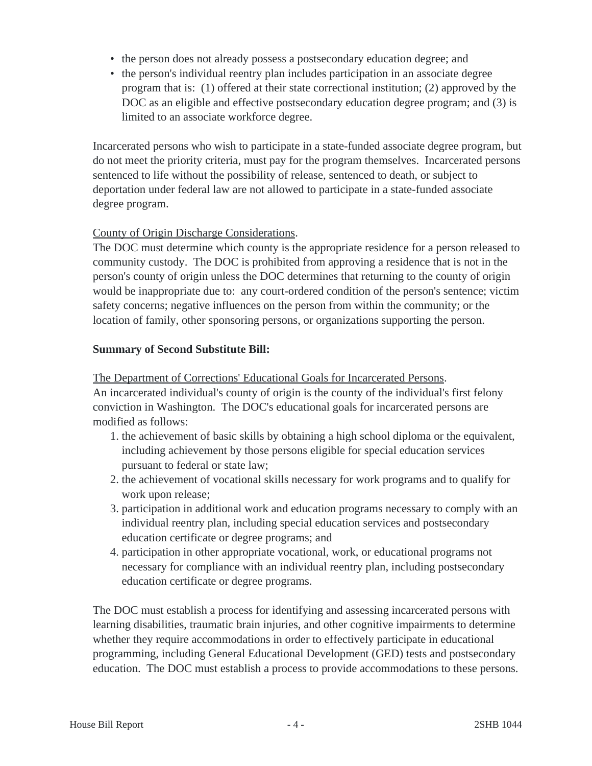- the person does not already possess a postsecondary education degree; and
- the person's individual reentry plan includes participation in an associate degree program that is: (1) offered at their state correctional institution; (2) approved by the DOC as an eligible and effective postsecondary education degree program; and (3) is limited to an associate workforce degree.

Incarcerated persons who wish to participate in a state-funded associate degree program, but do not meet the priority criteria, must pay for the program themselves. Incarcerated persons sentenced to life without the possibility of release, sentenced to death, or subject to deportation under federal law are not allowed to participate in a state-funded associate degree program.

## County of Origin Discharge Considerations.

The DOC must determine which county is the appropriate residence for a person released to community custody. The DOC is prohibited from approving a residence that is not in the person's county of origin unless the DOC determines that returning to the county of origin would be inappropriate due to: any court-ordered condition of the person's sentence; victim safety concerns; negative influences on the person from within the community; or the location of family, other sponsoring persons, or organizations supporting the person.

#### **Summary of Second Substitute Bill:**

The Department of Corrections' Educational Goals for Incarcerated Persons.

An incarcerated individual's county of origin is the county of the individual's first felony conviction in Washington. The DOC's educational goals for incarcerated persons are modified as follows:

- 1. the achievement of basic skills by obtaining a high school diploma or the equivalent, including achievement by those persons eligible for special education services pursuant to federal or state law;
- 2. the achievement of vocational skills necessary for work programs and to qualify for work upon release;
- 3. participation in additional work and education programs necessary to comply with an individual reentry plan, including special education services and postsecondary education certificate or degree programs; and
- 4. participation in other appropriate vocational, work, or educational programs not necessary for compliance with an individual reentry plan, including postsecondary education certificate or degree programs.

The DOC must establish a process for identifying and assessing incarcerated persons with learning disabilities, traumatic brain injuries, and other cognitive impairments to determine whether they require accommodations in order to effectively participate in educational programming, including General Educational Development (GED) tests and postsecondary education. The DOC must establish a process to provide accommodations to these persons.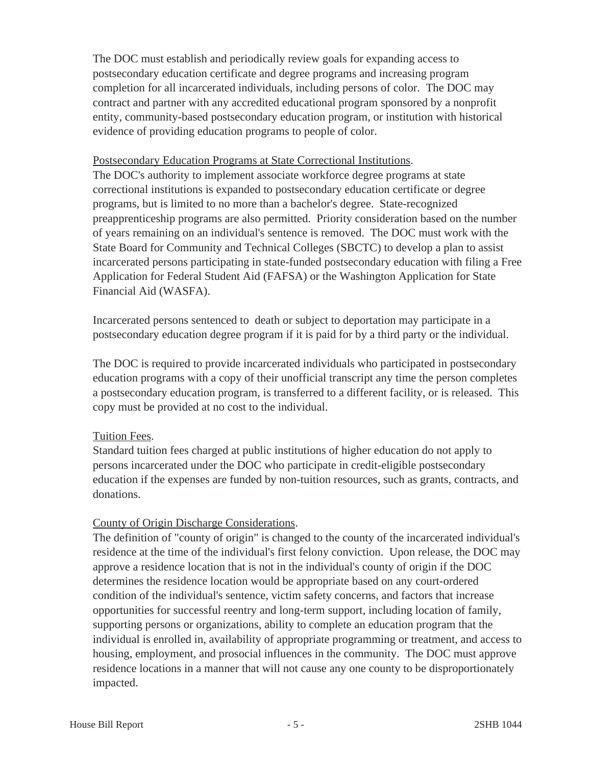The DOC must establish and periodically review goals for expanding access to postsecondary education certificate and degree programs and increasing program completion for all incarcerated individuals, including persons of color. The DOC may contract and partner with any accredited educational program sponsored by a nonprofit entity, community-based postsecondary education program, or institution with historical evidence of providing education programs to people of color.

#### Postsecondary Education Programs at State Correctional Institutions.

The DOC's authority to implement associate workforce degree programs at state correctional institutions is expanded to postsecondary education certificate or degree programs, but is limited to no more than a bachelor's degree. State-recognized preapprenticeship programs are also permitted. Priority consideration based on the number of years remaining on an individual's sentence is removed. The DOC must work with the State Board for Community and Technical Colleges (SBCTC) to develop a plan to assist incarcerated persons participating in state-funded postsecondary education with filing a Free Application for Federal Student Aid (FAFSA) or the Washington Application for State Financial Aid (WASFA).

Incarcerated persons sentenced to death or subject to deportation may participate in a postsecondary education degree program if it is paid for by a third party or the individual.

The DOC is required to provide incarcerated individuals who participated in postsecondary education programs with a copy of their unofficial transcript any time the person completes a postsecondary education program, is transferred to a different facility, or is released. This copy must be provided at no cost to the individual.

#### Tuition Fees.

Standard tuition fees charged at public institutions of higher education do not apply to persons incarcerated under the DOC who participate in credit-eligible postsecondary education if the expenses are funded by non-tuition resources, such as grants, contracts, and donations.

#### County of Origin Discharge Considerations.

The definition of "county of origin" is changed to the county of the incarcerated individual's residence at the time of the individual's first felony conviction. Upon release, the DOC may approve a residence location that is not in the individual's county of origin if the DOC determines the residence location would be appropriate based on any court-ordered condition of the individual's sentence, victim safety concerns, and factors that increase opportunities for successful reentry and long-term support, including location of family, supporting persons or organizations, ability to complete an education program that the individual is enrolled in, availability of appropriate programming or treatment, and access to housing, employment, and prosocial influences in the community. The DOC must approve residence locations in a manner that will not cause any one county to be disproportionately impacted.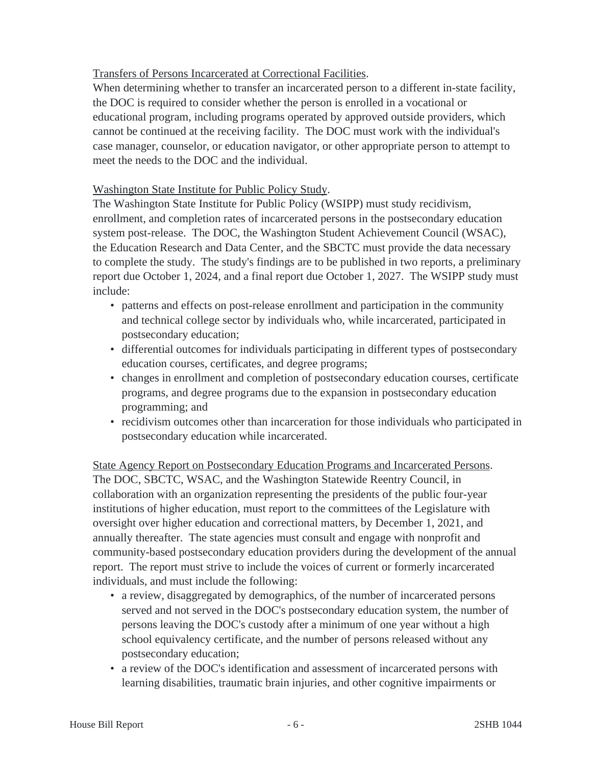## Transfers of Persons Incarcerated at Correctional Facilities.

When determining whether to transfer an incarcerated person to a different in-state facility, the DOC is required to consider whether the person is enrolled in a vocational or educational program, including programs operated by approved outside providers, which cannot be continued at the receiving facility. The DOC must work with the individual's case manager, counselor, or education navigator, or other appropriate person to attempt to meet the needs to the DOC and the individual.

#### Washington State Institute for Public Policy Study.

The Washington State Institute for Public Policy (WSIPP) must study recidivism, enrollment, and completion rates of incarcerated persons in the postsecondary education system post-release. The DOC, the Washington Student Achievement Council (WSAC), the Education Research and Data Center, and the SBCTC must provide the data necessary to complete the study. The study's findings are to be published in two reports, a preliminary report due October 1, 2024, and a final report due October 1, 2027. The WSIPP study must include:

- patterns and effects on post-release enrollment and participation in the community and technical college sector by individuals who, while incarcerated, participated in postsecondary education;
- differential outcomes for individuals participating in different types of postsecondary education courses, certificates, and degree programs;
- changes in enrollment and completion of postsecondary education courses, certificate programs, and degree programs due to the expansion in postsecondary education programming; and
- recidivism outcomes other than incarceration for those individuals who participated in postsecondary education while incarcerated.

State Agency Report on Postsecondary Education Programs and Incarcerated Persons. The DOC, SBCTC, WSAC, and the Washington Statewide Reentry Council, in collaboration with an organization representing the presidents of the public four-year institutions of higher education, must report to the committees of the Legislature with oversight over higher education and correctional matters, by December 1, 2021, and annually thereafter. The state agencies must consult and engage with nonprofit and community-based postsecondary education providers during the development of the annual report. The report must strive to include the voices of current or formerly incarcerated individuals, and must include the following:

- a review, disaggregated by demographics, of the number of incarcerated persons served and not served in the DOC's postsecondary education system, the number of persons leaving the DOC's custody after a minimum of one year without a high school equivalency certificate, and the number of persons released without any postsecondary education;
- a review of the DOC's identification and assessment of incarcerated persons with learning disabilities, traumatic brain injuries, and other cognitive impairments or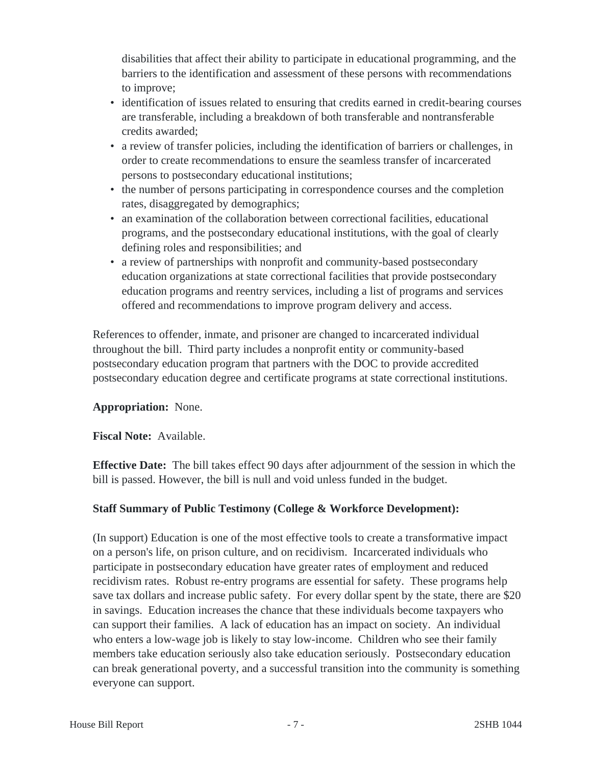disabilities that affect their ability to participate in educational programming, and the barriers to the identification and assessment of these persons with recommendations to improve;

- identification of issues related to ensuring that credits earned in credit-bearing courses are transferable, including a breakdown of both transferable and nontransferable credits awarded;
- a review of transfer policies, including the identification of barriers or challenges, in order to create recommendations to ensure the seamless transfer of incarcerated persons to postsecondary educational institutions;
- the number of persons participating in correspondence courses and the completion rates, disaggregated by demographics;
- an examination of the collaboration between correctional facilities, educational programs, and the postsecondary educational institutions, with the goal of clearly defining roles and responsibilities; and
- a review of partnerships with nonprofit and community-based postsecondary education organizations at state correctional facilities that provide postsecondary education programs and reentry services, including a list of programs and services offered and recommendations to improve program delivery and access.

References to offender, inmate, and prisoner are changed to incarcerated individual throughout the bill. Third party includes a nonprofit entity or community-based postsecondary education program that partners with the DOC to provide accredited postsecondary education degree and certificate programs at state correctional institutions.

#### **Appropriation:** None.

#### **Fiscal Note:** Available.

**Effective Date:** The bill takes effect 90 days after adjournment of the session in which the bill is passed. However, the bill is null and void unless funded in the budget.

## **Staff Summary of Public Testimony (College & Workforce Development):**

(In support) Education is one of the most effective tools to create a transformative impact on a person's life, on prison culture, and on recidivism. Incarcerated individuals who participate in postsecondary education have greater rates of employment and reduced recidivism rates. Robust re-entry programs are essential for safety. These programs help save tax dollars and increase public safety. For every dollar spent by the state, there are \$20 in savings. Education increases the chance that these individuals become taxpayers who can support their families. A lack of education has an impact on society. An individual who enters a low-wage job is likely to stay low-income. Children who see their family members take education seriously also take education seriously. Postsecondary education can break generational poverty, and a successful transition into the community is something everyone can support.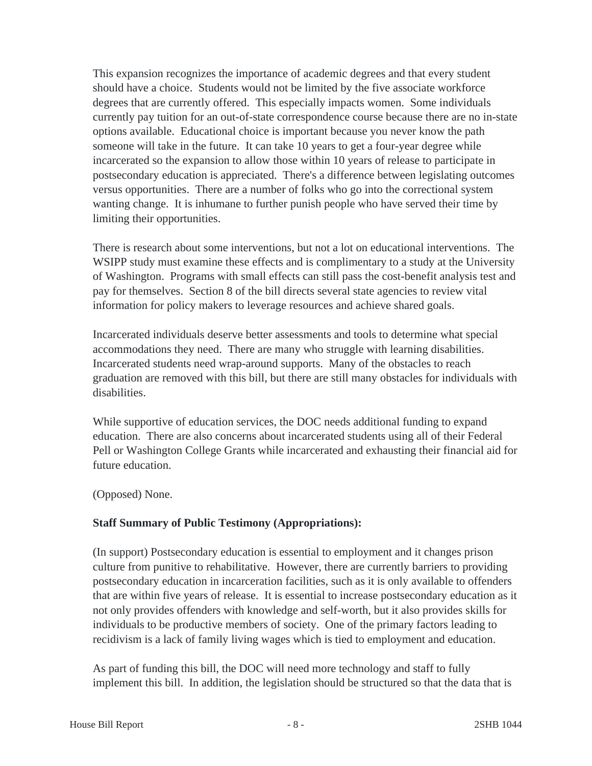This expansion recognizes the importance of academic degrees and that every student should have a choice. Students would not be limited by the five associate workforce degrees that are currently offered. This especially impacts women. Some individuals currently pay tuition for an out-of-state correspondence course because there are no in-state options available. Educational choice is important because you never know the path someone will take in the future. It can take 10 years to get a four-year degree while incarcerated so the expansion to allow those within 10 years of release to participate in postsecondary education is appreciated. There's a difference between legislating outcomes versus opportunities. There are a number of folks who go into the correctional system wanting change. It is inhumane to further punish people who have served their time by limiting their opportunities.

There is research about some interventions, but not a lot on educational interventions. The WSIPP study must examine these effects and is complimentary to a study at the University of Washington. Programs with small effects can still pass the cost-benefit analysis test and pay for themselves. Section 8 of the bill directs several state agencies to review vital information for policy makers to leverage resources and achieve shared goals.

Incarcerated individuals deserve better assessments and tools to determine what special accommodations they need. There are many who struggle with learning disabilities. Incarcerated students need wrap-around supports. Many of the obstacles to reach graduation are removed with this bill, but there are still many obstacles for individuals with disabilities.

While supportive of education services, the DOC needs additional funding to expand education. There are also concerns about incarcerated students using all of their Federal Pell or Washington College Grants while incarcerated and exhausting their financial aid for future education.

(Opposed) None.

#### **Staff Summary of Public Testimony (Appropriations):**

(In support) Postsecondary education is essential to employment and it changes prison culture from punitive to rehabilitative. However, there are currently barriers to providing postsecondary education in incarceration facilities, such as it is only available to offenders that are within five years of release. It is essential to increase postsecondary education as it not only provides offenders with knowledge and self-worth, but it also provides skills for individuals to be productive members of society. One of the primary factors leading to recidivism is a lack of family living wages which is tied to employment and education.

As part of funding this bill, the DOC will need more technology and staff to fully implement this bill. In addition, the legislation should be structured so that the data that is